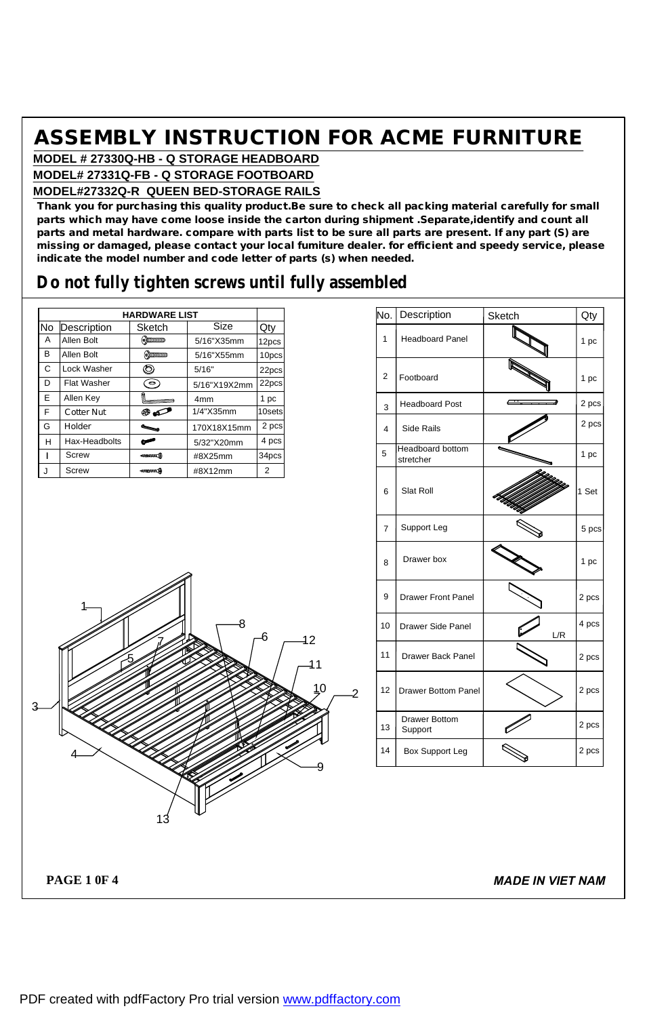**MODEL # 27330Q-HB - Q STORAGE HEADBOARD MODEL# 27331Q-FB - Q STORAGE FOOTBOARD**

#### **MODEL#27332Q-R QUEEN BED-STORAGE RAILS**

**Thank you for purchasing this quality product.Be sure to check all packing material carefully for small parts which may have come loose inside the carton during shipment .Separate,identify and count all** parts and metal hardware. compare with parts list to be sure all parts are present. If any part (S) are **missing or damaged, please contact your local fumiture dealer. for efficient and speedy service, please indicate the model number and code letter of parts (s) when needed.**

## **Do not fully tighten screws until fully assembled**

|    |                    | <b>HARDWARE LIST</b>     |                 |        |
|----|--------------------|--------------------------|-----------------|--------|
| No | Description        | Sketch                   | Size            | Qty    |
| A  | Allen Bolt         | $\odot$ omonomo          | 5/16"X35mm      | 12pcs  |
| в  | Allen Bolt         | $\odot$ municipality     | 5/16"X55mm      | 10pcs  |
| C  | Lock Washer        | O                        | 5/16"           | 22pcs  |
| D  | <b>Flat Washer</b> | $\left( \bullet \right)$ | 5/16"X19X2mm    | 22pcs  |
| Е  | Allen Key          |                          | 4 <sub>mm</sub> | 1 pc   |
| F  | Cotter Nut         | ® o                      | 1/4"X35mm       | 10sets |
| G  | Holder             |                          | 170X18X15mm     | 2 pcs  |
| н  | Hax-Headbolts      | صح                       | 5/32"X20mm      | 4 pcs  |
|    | Screw              | 41111111111              | #8X25mm         | 34pcs  |
| J  | Screw              | -ammax A                 | #8X12mm         | 2      |

| No.            | Description                     | Sketch | Qty   |
|----------------|---------------------------------|--------|-------|
| 1              | <b>Headboard Panel</b>          |        | 1 pc  |
| $\overline{2}$ | Footboard                       |        | 1 pc  |
| 3              | <b>Headboard Post</b>           |        | 2 pcs |
| 4              | <b>Side Rails</b>               |        | 2 pcs |
| 5              | Headboard bottom<br>stretcher   |        | 1 pc  |
| 6              | Slat Roll                       |        | 1 Set |
| $\overline{7}$ | Support Leg                     |        | 5 pcs |
| 8              | Drawer box                      |        | 1 pc  |
| 9              | <b>Drawer Front Panel</b>       |        | 2 pcs |
| 10             | Drawer Side Panel               | L/R    | 4 pcs |
| 11             | Drawer Back Panel               |        | 2 pcs |
| 12             | <b>Drawer Bottom Panel</b>      |        | 2 pcs |
| 13             | <b>Drawer Bottom</b><br>Support |        | 2 pcs |
| 14             | Box Support Leg                 |        | 2 pcs |



**PAGE 1 0F 4**

*MADE IN VIET NAM*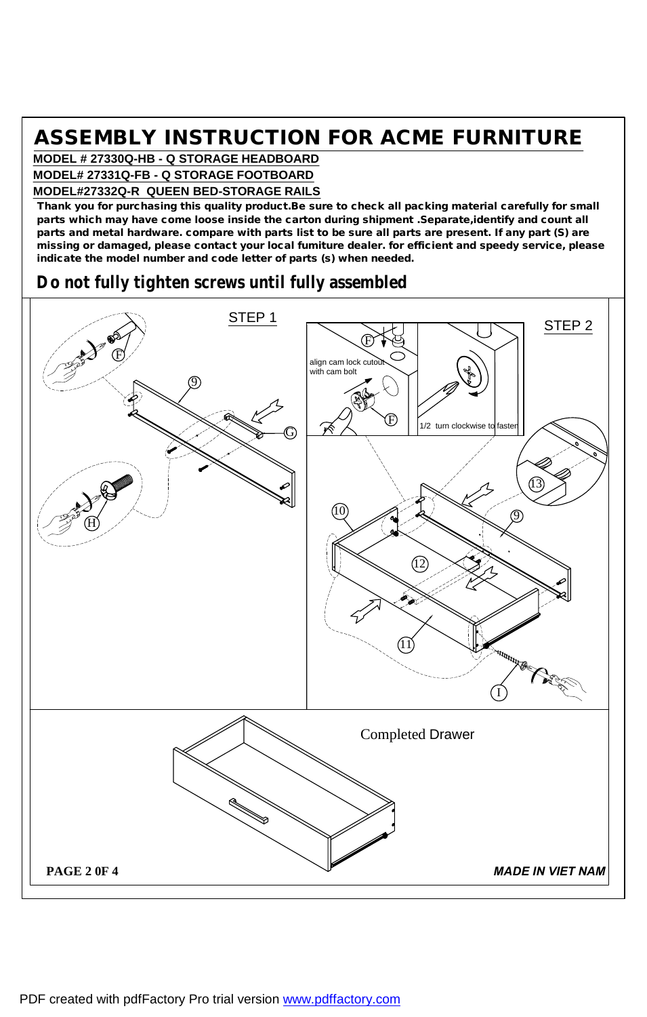**MODEL # 27330Q-HB - Q STORAGE HEADBOARD MODEL# 27331Q-FB - Q STORAGE FOOTBOARD**

#### **MODEL#27332Q-R QUEEN BED-STORAGE RAILS**

**Thank you for purchasing this quality product.Be sure to check all packing material carefully for small parts which may have come loose inside the carton during shipment .Separate,identify and count all** parts and metal hardware. compare with parts list to be sure all parts are present. If any part (S) are **missing or damaged, please contact your local fumiture dealer. for efficient and speedy service, please indicate the model number and code letter of parts (s) when needed.**

## **Do not fully tighten screws until fully assembled**

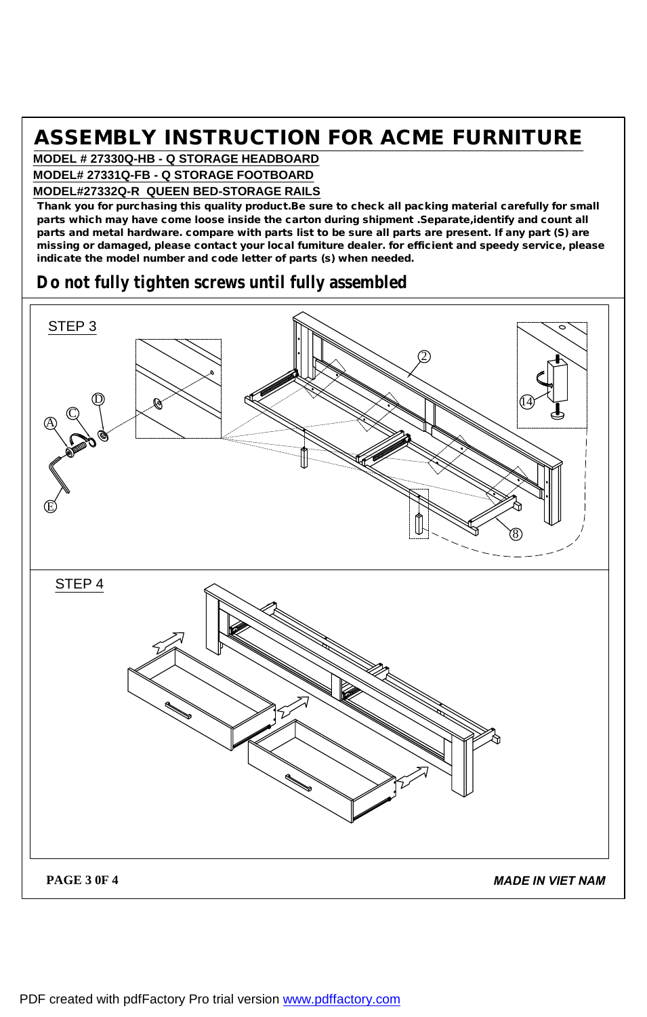**MODEL # 27330Q-HB - Q STORAGE HEADBOARD MODEL# 27331Q-FB - Q STORAGE FOOTBOARD**

#### **MODEL#27332Q-R QUEEN BED-STORAGE RAILS**

**Thank you for purchasing this quality product.Be sure to check all packing material carefully for small parts which may have come loose inside the carton during shipment .Separate,identify and count all** parts and metal hardware. compare with parts list to be sure all parts are present. If any part (S) are **missing or damaged, please contact your local fumiture dealer. for efficient and speedy service, please indicate the model number and code letter of parts (s) when needed.**

### **Do not fully tighten screws until fully assembled**